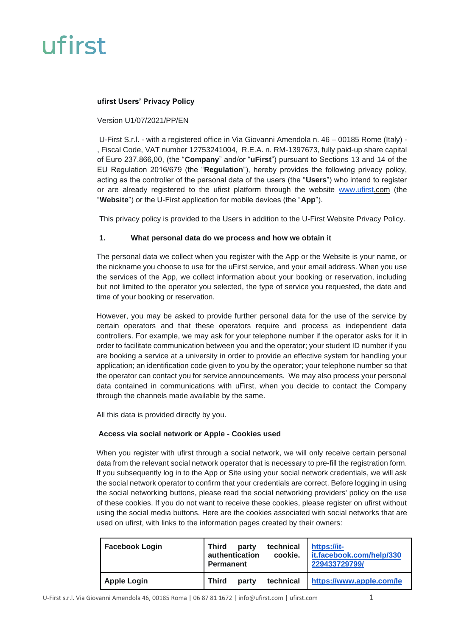#### **ufirst Users' Privacy Policy**

#### Version U1/07/2021/PP/EN

U-First S.r.l. - with a registered office in Via Giovanni Amendola n. 46 – 00185 Rome (Italy) - , Fiscal Code, VAT number 12753241004, R.E.A. n. RM-1397673, fully paid-up share capital of Euro 237.866,00, (the "**Company**" and/or "**uFirst**") pursuant to Sections 13 and 14 of the EU Regulation 2016/679 (the "**Regulation**"), hereby provides the following privacy policy, acting as the controller of the personal data of the users (the "**Users**") who intend to register or are already registered to the ufirst platform through the website [www.ufirst.](http://www.ufirst/)com (the "**Website**") or the U-First application for mobile devices (the "**App**").

This privacy policy is provided to the Users in addition to the U-First Website Privacy Policy.

#### **1. What personal data do we process and how we obtain it**

The personal data we collect when you register with the App or the Website is your name, or the nickname you choose to use for the uFirst service, and your email address. When you use the services of the App, we collect information about your booking or reservation, including but not limited to the operator you selected, the type of service you requested, the date and time of your booking or reservation.

However, you may be asked to provide further personal data for the use of the service by certain operators and that these operators require and process as independent data controllers. For example, we may ask for your telephone number if the operator asks for it in order to facilitate communication between you and the operator; your student ID number if you are booking a service at a university in order to provide an effective system for handling your application; an identification code given to you by the operator; your telephone number so that the operator can contact you for service announcements. We may also process your personal data contained in communications with uFirst, when you decide to contact the Company through the channels made available by the same.

All this data is provided directly by you.

### **Access via social network or Apple - Cookies used**

When you register with ufirst through a social network, we will only receive certain personal data from the relevant social network operator that is necessary to pre-fill the registration form. If you subsequently log in to the App or Site using your social network credentials, we will ask the social network operator to confirm that your credentials are correct. Before logging in using the social networking buttons, please read the social networking providers' policy on the use of these cookies. If you do not want to receive these cookies, please register on ufirst without using the social media buttons. Here are the cookies associated with social networks that are used on ufirst, with links to the information pages created by their owners:

| <b>Facebook Login</b> | <b>Third</b><br>party<br>authentication<br>Permanent | technical<br>cookie. | https://it-<br>it.facebook.com/help/330<br>229433729799/ |
|-----------------------|------------------------------------------------------|----------------------|----------------------------------------------------------|
| <b>Apple Login</b>    | <b>Third</b><br>party                                | technical            | https://www.apple.com/le                                 |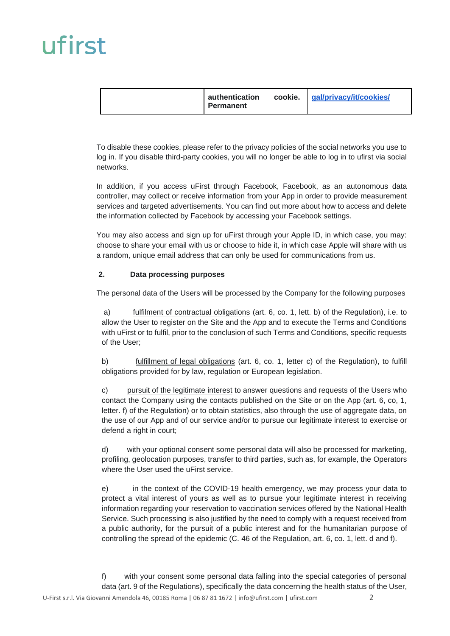| authentication<br>Permanent | cookie. gal/privacy/it/cookies/ |
|-----------------------------|---------------------------------|
|-----------------------------|---------------------------------|

To disable these cookies, please refer to the privacy policies of the social networks you use to log in. If you disable third-party cookies, you will no longer be able to log in to ufirst via social networks.

In addition, if you access uFirst through Facebook, Facebook, as an autonomous data controller, may collect or receive information from your App in order to provide measurement services and targeted advertisements. You can find out more about how to access and delete the information collected by Facebook by accessing your Facebook settings.

You may also access and sign up for uFirst through your Apple ID, in which case, you may: choose to share your email with us or choose to hide it, in which case Apple will share with us a random, unique email address that can only be used for communications from us.

### **2. Data processing purposes**

The personal data of the Users will be processed by the Company for the following purposes

a) fulfilment of contractual obligations (art. 6, co. 1, lett. b) of the Regulation), i.e. to allow the User to register on the Site and the App and to execute the Terms and Conditions with uFirst or to fulfil, prior to the conclusion of such Terms and Conditions, specific requests of the User;

b) fulfillment of legal obligations (art. 6, co. 1, letter c) of the Regulation), to fulfill obligations provided for by law, regulation or European legislation.

c) pursuit of the legitimate interest to answer questions and requests of the Users who contact the Company using the contacts published on the Site or on the App (art. 6, co, 1, letter. f) of the Regulation) or to obtain statistics, also through the use of aggregate data, on the use of our App and of our service and/or to pursue our legitimate interest to exercise or defend a right in court;

d) with your optional consent some personal data will also be processed for marketing, profiling, geolocation purposes, transfer to third parties, such as, for example, the Operators where the User used the uFirst service.

e) in the context of the COVID-19 health emergency, we may process your data to protect a vital interest of yours as well as to pursue your legitimate interest in receiving information regarding your reservation to vaccination services offered by the National Health Service. Such processing is also justified by the need to comply with a request received from a public authority, for the pursuit of a public interest and for the humanitarian purpose of controlling the spread of the epidemic (C. 46 of the Regulation, art. 6, co. 1, lett. d and f).

f) with your consent some personal data falling into the special categories of personal data (art. 9 of the Regulations), specifically the data concerning the health status of the User,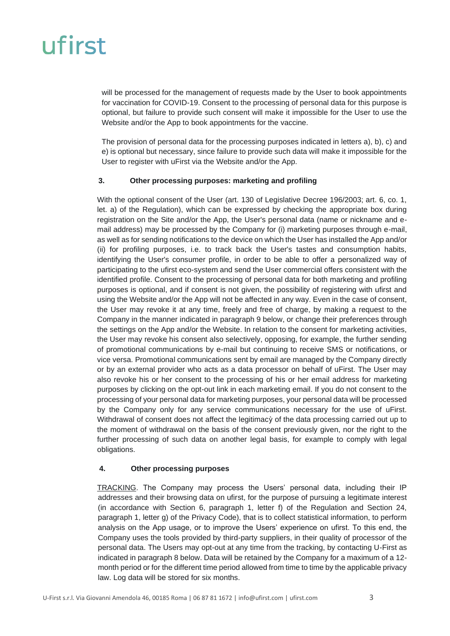will be processed for the management of requests made by the User to book appointments for vaccination for COVID-19. Consent to the processing of personal data for this purpose is optional, but failure to provide such consent will make it impossible for the User to use the Website and/or the App to book appointments for the vaccine.

The provision of personal data for the processing purposes indicated in letters a), b), c) and e) is optional but necessary, since failure to provide such data will make it impossible for the User to register with uFirst via the Website and/or the App.

#### **3. Other processing purposes: marketing and profiling**

With the optional consent of the User (art. 130 of Legislative Decree 196/2003; art. 6, co. 1, let. a) of the Regulation), which can be expressed by checking the appropriate box during registration on the Site and/or the App, the User's personal data (name or nickname and email address) may be processed by the Company for (i) marketing purposes through e-mail, as well as for sending notifications to the device on which the User has installed the App and/or (ii) for profiling purposes, i.e. to track back the User's tastes and consumption habits, identifying the User's consumer profile, in order to be able to offer a personalized way of participating to the ufirst eco-system and send the User commercial offers consistent with the identified profile. Consent to the processing of personal data for both marketing and profiling purposes is optional, and if consent is not given, the possibility of registering with ufirst and using the Website and/or the App will not be affected in any way. Even in the case of consent, the User may revoke it at any time, freely and free of charge, by making a request to the Company in the manner indicated in paragraph 9 below, or change their preferences through the settings on the App and/or the Website. In relation to the consent for marketing activities, the User may revoke his consent also selectively, opposing, for example, the further sending of promotional communications by e-mail but continuing to receive SMS or notifications, or vice versa. Promotional communications sent by email are managed by the Company directly or by an external provider who acts as a data processor on behalf of uFirst. The User may also revoke his or her consent to the processing of his or her email address for marketing purposes by clicking on the opt-out link in each marketing email. If you do not consent to the processing of your personal data for marketing purposes, your personal data will be processed by the Company only for any service communications necessary for the use of uFirst. Withdrawal of consent does not affect the legitimacy of the data processing carried out up to the moment of withdrawal on the basis of the consent previously given, nor the right to the further processing of such data on another legal basis, for example to comply with legal obligations.

#### **4. Other processing purposes**

TRACKING. The Company may process the Users' personal data, including their IP addresses and their browsing data on ufirst, for the purpose of pursuing a legitimate interest (in accordance with Section 6, paragraph 1, letter f) of the Regulation and Section 24, paragraph 1, letter g) of the Privacy Code), that is to collect statistical information, to perform analysis on the App usage, or to improve the Users' experience on ufirst. To this end, the Company uses the tools provided by third-party suppliers, in their quality of processor of the personal data. The Users may opt-out at any time from the tracking, by contacting U-First as indicated in paragraph 8 below. Data will be retained by the Company for a maximum of a 12 month period or for the different time period allowed from time to time by the applicable privacy law. Log data will be stored for six months.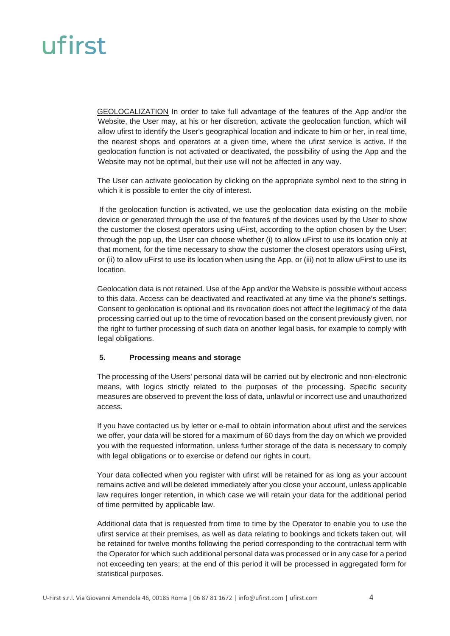GEOLOCALIZATION In order to take full advantage of the features of the App and/or the Website, the User may, at his or her discretion, activate the geolocation function, which will allow ufirst to identify the User's geographical location and indicate to him or her, in real time, the nearest shops and operators at a given time, where the ufirst service is active. If the geolocation function is not activated or deactivated, the possibility of using the App and the Website may not be optimal, but their use will not be affected in any way.

The User can activate geolocation by clicking on the appropriate symbol next to the string in which it is possible to enter the city of interest.

If the geolocation function is activated, we use the geolocation data existing on the mobile device or generated through the use of the features̀ of the devices used by the User to show the customer the closest operators using uFirst, according to the option chosen by the User: through the pop up, the User can choose whether (i) to allow uFirst to use its location only at that moment, for the time necessary to show the customer the closest operators using uFirst, or (ii) to allow uFirst to use its location when using the App, or (iii) not to allow uFirst to use its location.

Geolocation data is not retained. Use of the App and/or the Website is possible without access to this data. Access can be deactivated and reactivated at any time via the phone's settings. Consent to geolocation is optional and its revocation does not affect the legitimacỳ of the data processing carried out up to the time of revocation based on the consent previously given, nor the right to further processing of such data on another legal basis, for example to comply with legal obligations.

#### **5. Processing means and storage**

The processing of the Users' personal data will be carried out by electronic and non-electronic means, with logics strictly related to the purposes of the processing. Specific security measures are observed to prevent the loss of data, unlawful or incorrect use and unauthorized access.

If you have contacted us by letter or e-mail to obtain information about ufirst and the services we offer, your data will be stored for a maximum of 60 days from the day on which we provided you with the requested information, unless further storage of the data is necessary to comply with legal obligations or to exercise or defend our rights in court.

Your data collected when you register with ufirst will be retained for as long as your account remains active and will be deleted immediately after you close your account, unless applicable law requires longer retention, in which case we will retain your data for the additional period of time permitted by applicable law.

Additional data that is requested from time to time by the Operator to enable you to use the ufirst service at their premises, as well as data relating to bookings and tickets taken out, will be retained for twelve months following the period corresponding to the contractual term with the Operator for which such additional personal data was processed or in any case for a period not exceeding ten years; at the end of this period it will be processed in aggregated form for statistical purposes.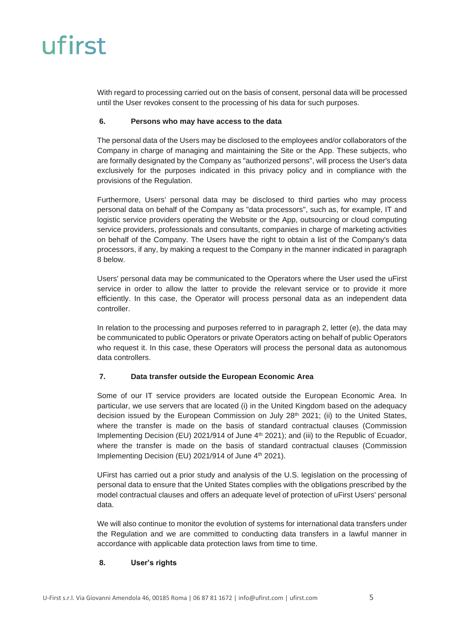With regard to processing carried out on the basis of consent, personal data will be processed until the User revokes consent to the processing of his data for such purposes.

#### **6. Persons who may have access to the data**

The personal data of the Users may be disclosed to the employees and/or collaborators of the Company in charge of managing and maintaining the Site or the App. These subjects, who are formally designated by the Company as "authorized persons", will process the User's data exclusively for the purposes indicated in this privacy policy and in compliance with the provisions of the Regulation.

Furthermore, Users' personal data may be disclosed to third parties who may process personal data on behalf of the Company as "data processors", such as, for example, IT and logistic service providers operating the Website or the App, outsourcing or cloud computing service providers, professionals and consultants, companies in charge of marketing activities on behalf of the Company. The Users have the right to obtain a list of the Company's data processors, if any, by making a request to the Company in the manner indicated in paragraph 8 below.

Users' personal data may be communicated to the Operators where the User used the uFirst service in order to allow the latter to provide the relevant service or to provide it more efficiently. In this case, the Operator will process personal data as an independent data controller.

In relation to the processing and purposes referred to in paragraph 2, letter (e), the data may be communicated to public Operators or private Operators acting on behalf of public Operators who request it. In this case, these Operators will process the personal data as autonomous data controllers.

### **7. Data transfer outside the European Economic Area**

Some of our IT service providers are located outside the European Economic Area. In particular, we use servers that are located (i) in the United Kingdom based on the adequacy decision issued by the European Commission on July  $28<sup>th</sup>$  2021; (ii) to the United States, where the transfer is made on the basis of standard contractual clauses (Commission Implementing Decision (EU) 2021/914 of June 4<sup>th</sup> 2021); and (iii) to the Republic of Ecuador, where the transfer is made on the basis of standard contractual clauses (Commission Implementing Decision (EU) 2021/914 of June 4<sup>th</sup> 2021).

UFirst has carried out a prior study and analysis of the U.S. legislation on the processing of personal data to ensure that the United States complies with the obligations prescribed by the model contractual clauses and offers an adequate level of protection of uFirst Users' personal data.

We will also continue to monitor the evolution of systems for international data transfers under the Regulation and we are committed to conducting data transfers in a lawful manner in accordance with applicable data protection laws from time to time.

#### **8. User's rights**